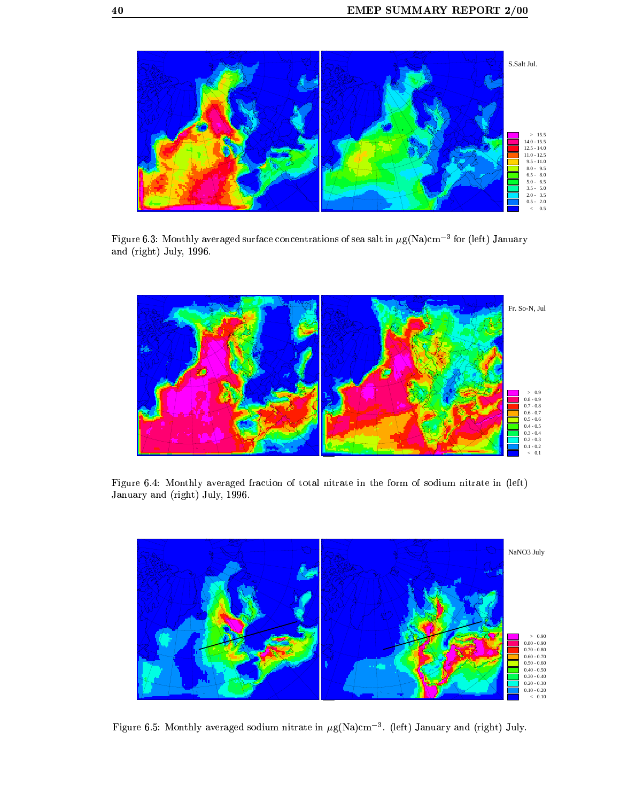

Figure 6.3: Monthly averaged surface concentrations of sea salt in  $\mu$ g(Na)cm $^{-3}$  for (left) January and (right) July,  $1996$ .



Figure 6.4: Monthly averaged fraction of total nitrate in the form of sodium nitrate in (left) January and (right) July, 1996.



Figure 6.5: Monthly averaged sodium nitrate in  $\mu$ g(Na)cm<sup>-3</sup>. (left) January and (right) July.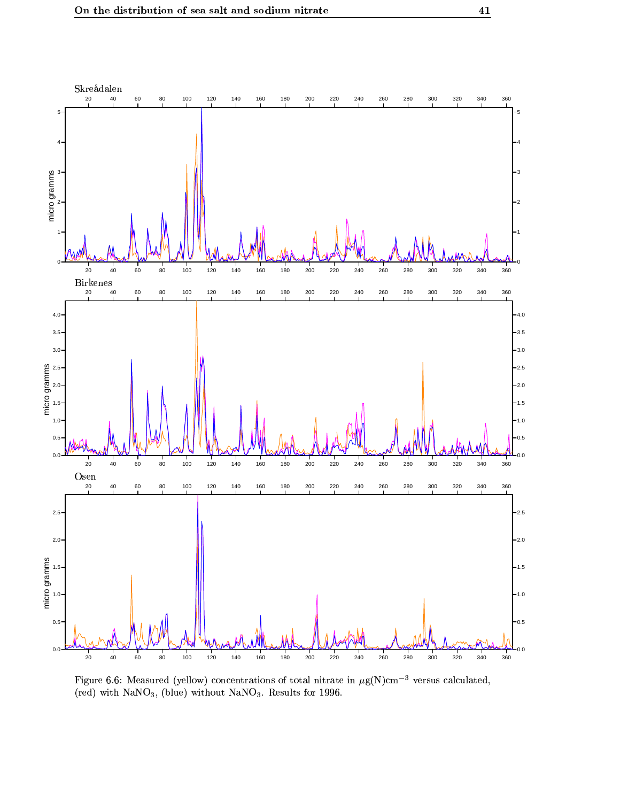

Figure 6.6: Measured (yellow) concentrations of total nitrate in  $\mu$ g(N)cm<sup>-3</sup> versus calculated, (red) with NaNO<sub>3</sub>, (blue) without NaNO<sub>3</sub>. Results for 1996.